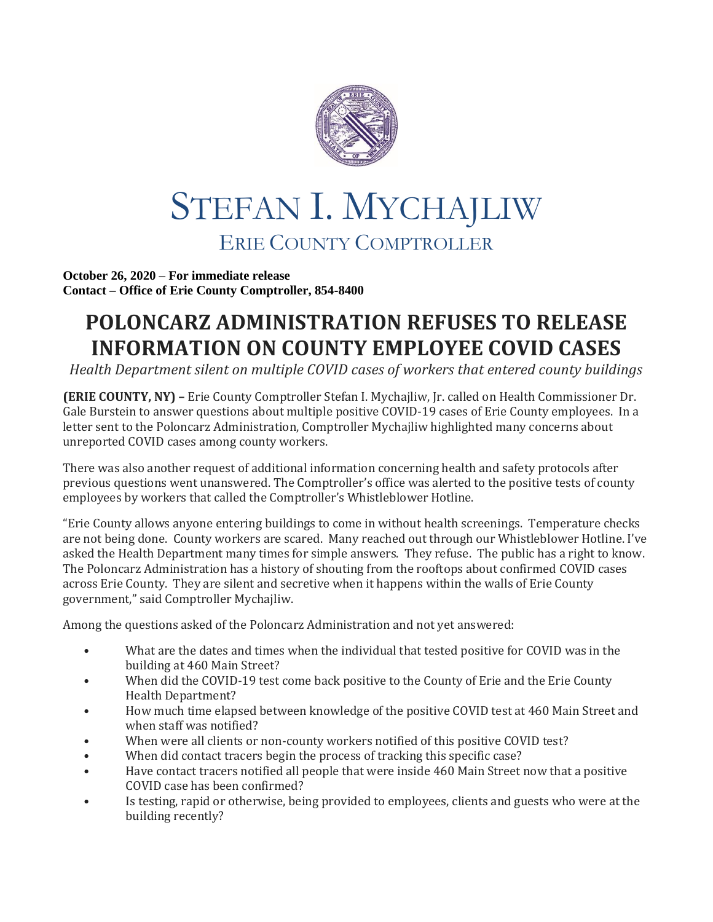

## STEFAN I. MYCHAJLIW ERIE COUNTY COMPTROLLER

**October 26, 2020 – For immediate release Contact – Office of Erie County Comptroller, 854-8400**

## **POLONCARZ ADMINISTRATION REFUSES TO RELEASE INFORMATION ON COUNTY EMPLOYEE COVID CASES**

*Health Department silent on multiple COVID cases of workers that entered county buildings*

**(ERIE COUNTY, NY) –** Erie County Comptroller Stefan I. Mychajliw, Jr. called on Health Commissioner Dr. Gale Burstein to answer questions about multiple positive COVID-19 cases of Erie County employees. In a letter sent to the Poloncarz Administration, Comptroller Mychajliw highlighted many concerns about unreported COVID cases among county workers.

There was also another request of additional information concerning health and safety protocols after previous questions went unanswered. The Comptroller's office was alerted to the positive tests of county employees by workers that called the Comptroller's Whistleblower Hotline.

"Erie County allows anyone entering buildings to come in without health screenings. Temperature checks are not being done. County workers are scared. Many reached out through our Whistleblower Hotline. I've asked the Health Department many times for simple answers. They refuse. The public has a right to know. The Poloncarz Administration has a history of shouting from the rooftops about confirmed COVID cases across Erie County. They are silent and secretive when it happens within the walls of Erie County government," said Comptroller Mychajliw.

Among the questions asked of the Poloncarz Administration and not yet answered:

- What are the dates and times when the individual that tested positive for COVID was in the building at 460 Main Street?
- When did the COVID-19 test come back positive to the County of Erie and the Erie County Health Department?
- How much time elapsed between knowledge of the positive COVID test at 460 Main Street and when staff was notified?
- When were all clients or non-county workers notified of this positive COVID test?
- When did contact tracers begin the process of tracking this specific case?
- Have contact tracers notified all people that were inside 460 Main Street now that a positive COVID case has been confirmed?
- Is testing, rapid or otherwise, being provided to employees, clients and guests who were at the building recently?